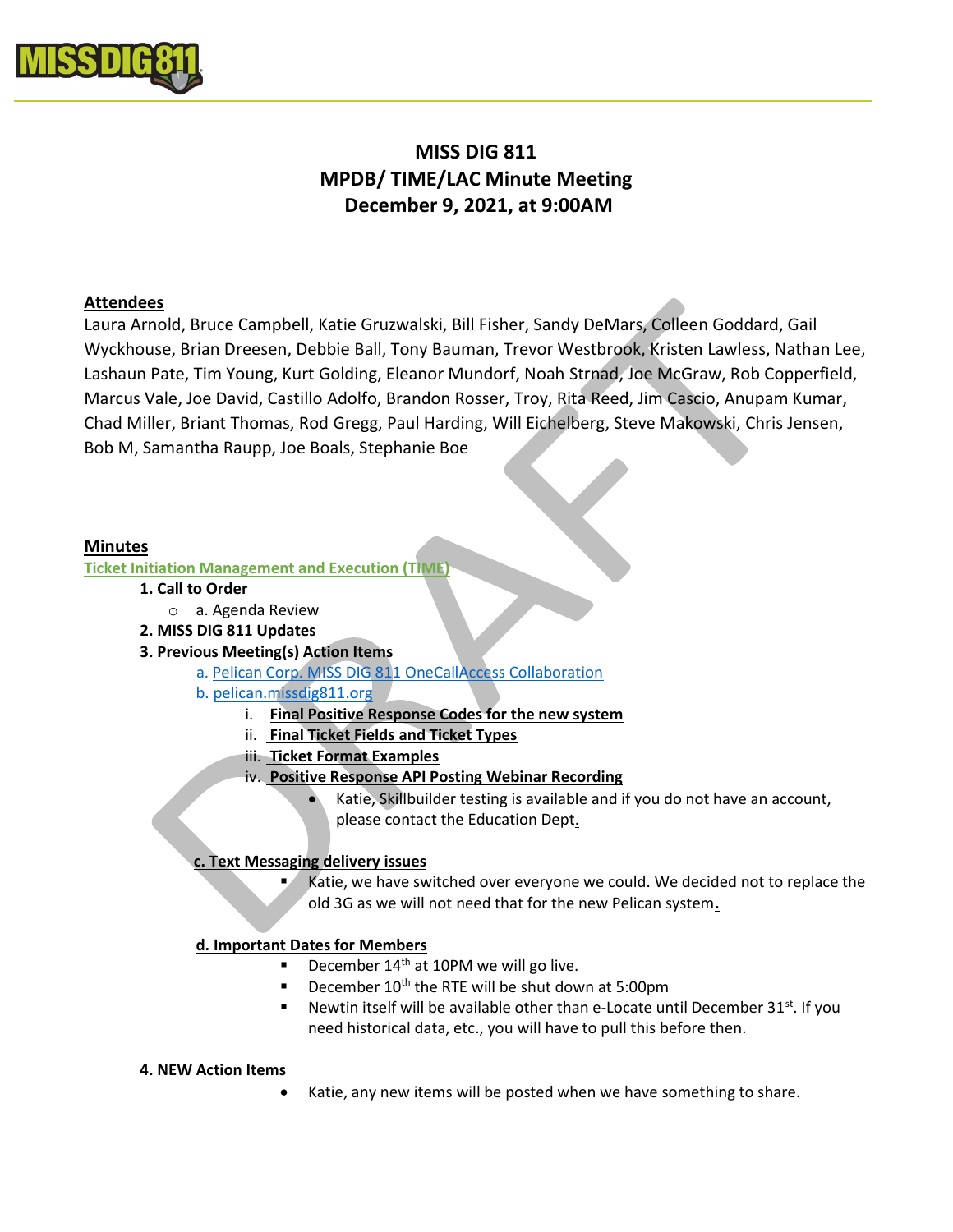

# MISS DIG 811 MPDB/ TIME/LAC Minute Meeting December 9, 2021, at 9:00AM

# Attendees

Laura Arnold, Bruce Campbell, Katie Gruzwalski, Bill Fisher, Sandy DeMars, Colleen Goddard, Gail Wyckhouse, Brian Dreesen, Debbie Ball, Tony Bauman, Trevor Westbrook, Kristen Lawless, Nathan Lee, Lashaun Pate, Tim Young, Kurt Golding, Eleanor Mundorf, Noah Strnad, Joe McGraw, Rob Copperfield, Marcus Vale, Joe David, Castillo Adolfo, Brandon Rosser, Troy, Rita Reed, Jim Cascio, Anupam Kumar, Chad Miller, Briant Thomas, Rod Gregg, Paul Harding, Will Eichelberg, Steve Makowski, Chris Jensen, Bob M, Samantha Raupp, Joe Boals, Stephanie Boe

## Minutes

Ticket Initiation Management and Execution (TIME)

- 1. Call to Order
- o a. Agenda Review
- 2. MISS DIG 811 Updates
- 3. Previous Meeting(s) Action Items
	- a. Pelican Corp. MISS DIG 811 OneCallAccess Collaboration
	- b. pelican.missdig811.org
		- i. Final Positive Response Codes for the new system
		- ii. Final Ticket Fields and Ticket Types
		- iii. Ticket Format Examples
		- iv. Positive Response API Posting Webinar Recording
			- Katie, Skillbuilder testing is available and if you do not have an account, please contact the Education Dept.

## c. Text Messaging delivery issues

 Katie, we have switched over everyone we could. We decided not to replace the old 3G as we will not need that for the new Pelican system.

## d. Important Dates for Members

- December 14<sup>th</sup> at 10PM we will go live.
- December 10<sup>th</sup> the RTE will be shut down at 5:00pm
- Newtin itself will be available other than e-Locate until December  $31<sup>st</sup>$ . If you need historical data, etc., you will have to pull this before then.

#### 4. NEW Action Items

Katie, any new items will be posted when we have something to share.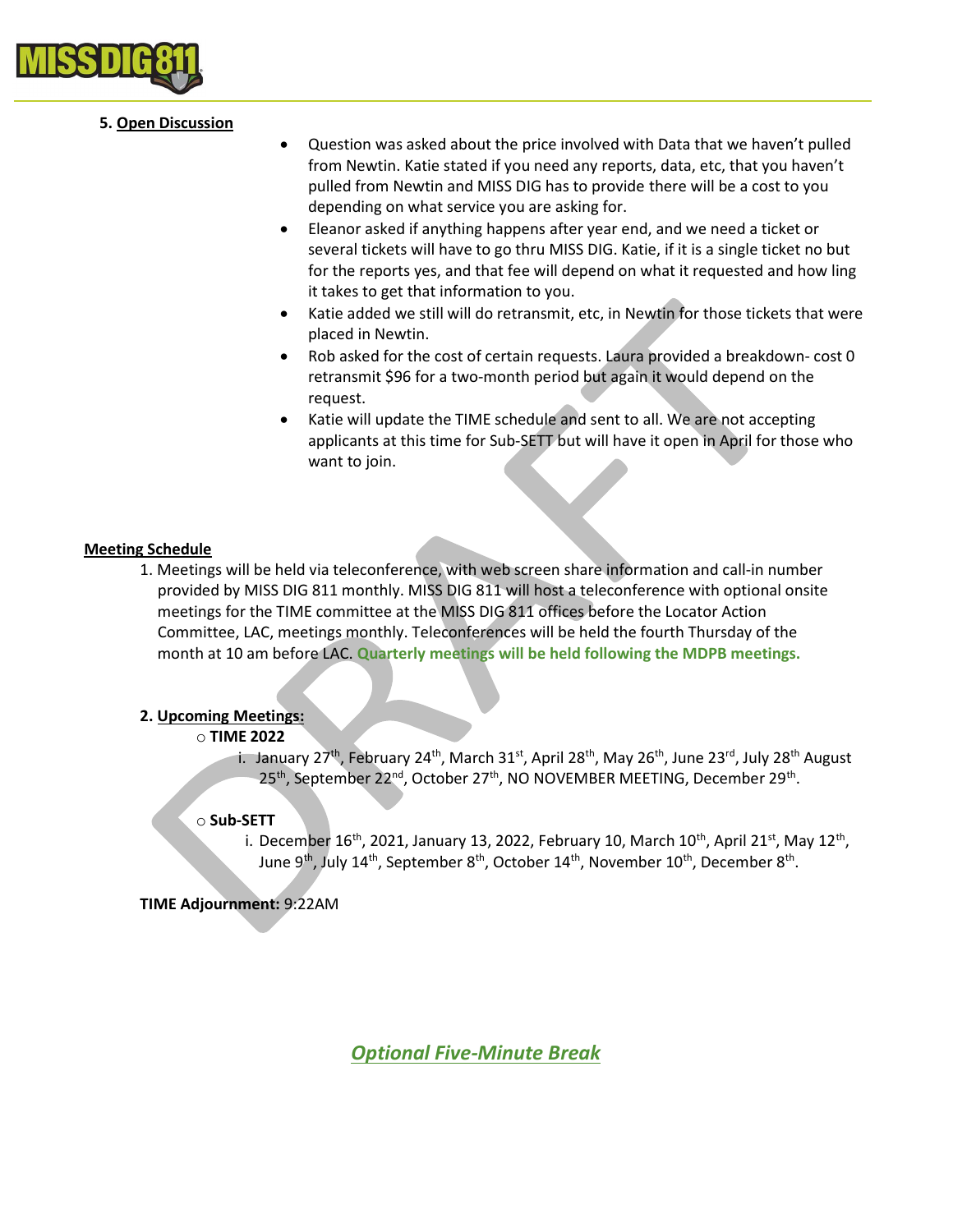

## 5. Open Discussion

- Question was asked about the price involved with Data that we haven't pulled from Newtin. Katie stated if you need any reports, data, etc, that you haven't pulled from Newtin and MISS DIG has to provide there will be a cost to you depending on what service you are asking for.
- Eleanor asked if anything happens after year end, and we need a ticket or several tickets will have to go thru MISS DIG. Katie, if it is a single ticket no but for the reports yes, and that fee will depend on what it requested and how ling it takes to get that information to you.
- Katie added we still will do retransmit, etc, in Newtin for those tickets that were placed in Newtin.
- Rob asked for the cost of certain requests. Laura provided a breakdown- cost 0 retransmit \$96 for a two-month period but again it would depend on the request.
- Katie will update the TIME schedule and sent to all. We are not accepting applicants at this time for Sub-SETT but will have it open in April for those who want to join.

## Meeting Schedule

1. Meetings will be held via teleconference, with web screen share information and call-in number provided by MISS DIG 811 monthly. MISS DIG 811 will host a teleconference with optional onsite meetings for the TIME committee at the MISS DIG 811 offices before the Locator Action Committee, LAC, meetings monthly. Teleconferences will be held the fourth Thursday of the month at 10 am before LAC. Quarterly meetings will be held following the MDPB meetings.

## 2. Upcoming Meetings:

#### o TIME 2022

i. January 27<sup>th</sup>, February 24<sup>th</sup>, March 31<sup>st</sup>, April 28<sup>th</sup>, May 26<sup>th</sup>, June 23<sup>rd</sup>, July 28<sup>th</sup> August 25<sup>th</sup>, September 22<sup>nd</sup>, October 27<sup>th</sup>, NO NOVEMBER MEETING, December 29<sup>th</sup>.

#### o Sub-SETT

i. December 16<sup>th</sup>, 2021, January 13, 2022, February 10, March 10<sup>th</sup>, April 21<sup>st</sup>, May 12<sup>th</sup>, June 9<sup>th</sup>, July 14<sup>th</sup>, September 8<sup>th</sup>, October 14<sup>th</sup>, November 10<sup>th</sup>, December 8<sup>th</sup>.

#### TIME Adjournment: 9:22AM

Optional Five-Minute Break